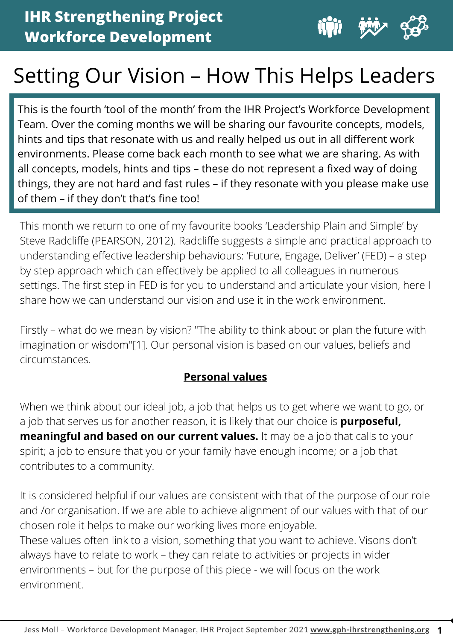

**1**

# Setting Our Vision – How This Helps Leaders

This is the fourth 'tool of the month' from the IHR Project's Workforce Development Team. Over the coming months we will be sharing our favourite concepts, models, hints and tips that resonate with us and really helped us out in all different work environments. Please come back each month to see what we are sharing. As with all concepts, models, hints and tips – these do not represent a fixed way of doing things, they are not hard and fast rules – if they resonate with you please make use of them – if they don't that's fine too!

This month we return to one of my favourite books 'Leadership Plain and Simple' by Steve Radcliffe (PEARSON, 2012). Radcliffe suggests a simple and practical approach to understanding effective leadership behaviours: 'Future, Engage, Deliver' (FED) – a step by step approach which can effectively be applied to all colleagues in numerous settings. The first step in FED is for you to understand and articulate your vision, here I share how we can understand our vision and use it in the work environment.

Firstly – what do we mean by vision? "The ability to think about or plan the future with imagination or wisdom"[1]. Our personal vision is based on our values, beliefs and circumstances.

## **Personal values**

When we think about our ideal job, a job that helps us to get where we want to go, or a job that serves us for another reason, it is likely that our choice is **purposeful, meaningful and based on our current values.** It may be a job that calls to your spirit; a job to ensure that you or your family have enough income; or a job that contributes to a community.

It is considered helpful if our values are consistent with that of the purpose of our role and /or organisation. If we are able to achieve alignment of our values with that of our chosen role it helps to make our working lives more enjoyable. These values often link to a vision, something that you want to achieve. Visons don't always have to relate to work – they can relate to activities or projects in wider environments – but for the purpose of this piece - we will focus on the work environment.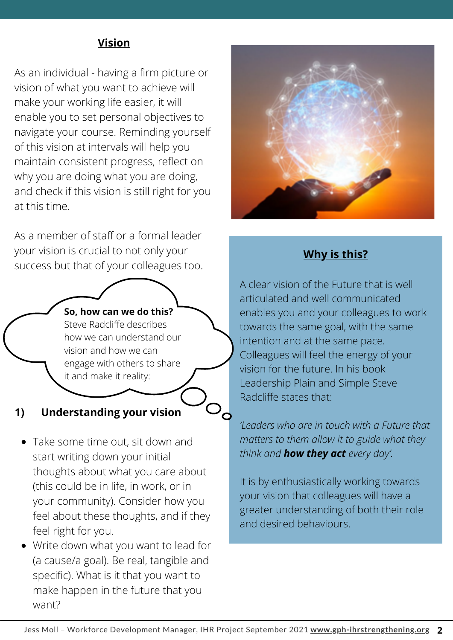#### **Vision**

As an individual - having a firm picture or vision of what you want to achieve will make your working life easier, it will enable you to set personal objectives to navigate your course. Reminding yourself of this vision at intervals will help you maintain consistent progress, reflect on why you are doing what you are doing, and check if this vision is still right for you at this time.

As a member of staff or a formal leader your vision is crucial to not only your success but that of your colleagues too.

#### **So, how can we do this?**

Steve Radcliffe describes how we can understand our vision and how we can engage with others to share it and make it reality:

#### **1) Understanding your vision**

- Take some time out, sit down and start writing down your initial thoughts about what you care about (this could be in life, in work, or in your community). Consider how you feel about these thoughts, and if they feel right for you.
- Write down what you want to lead for (a cause/a goal). Be real, tangible and specific). What is it that you want to make happen in the future that you want?



### **Why is this?**

A clear vision of the Future that is well articulated and well communicated enables you and your colleagues to work towards the same goal, with the same intention and at the same pace. Colleagues will feel the energy of your vision for the future. In his book Leadership Plain and Simple Steve Radcliffe states that:

*'Leaders who are in touch with a Future that matters to them allow it to guide what they think and how they act every day'.*

It is by enthusiastically working towards your vision that colleagues will have a greater understanding of both their role and desired behaviours.

 $\mathcal{P}_{\mathbf{Q}}$